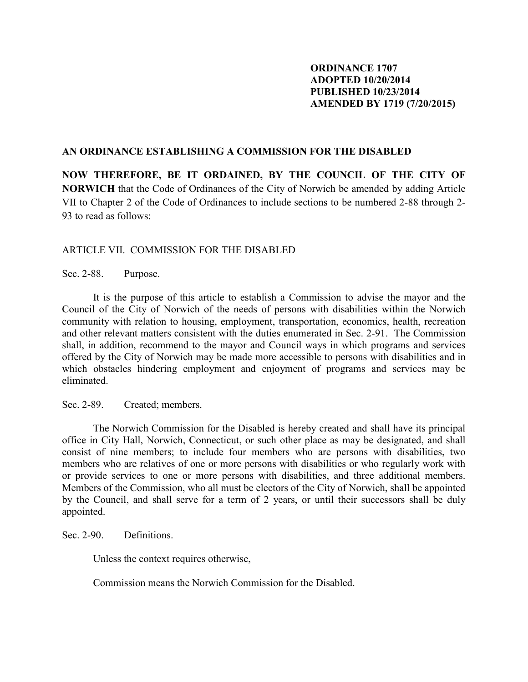## **ORDINANCE 1707 ADOPTED 10/20/2014 PUBLISHED 10/23/2014 AMENDED BY 1719 (7/20/2015)**

## **AN ORDINANCE ESTABLISHING A COMMISSION FOR THE DISABLED**

**NOW THEREFORE, BE IT ORDAINED, BY THE COUNCIL OF THE CITY OF NORWICH** that the Code of Ordinances of the City of Norwich be amended by adding Article VII to Chapter 2 of the Code of Ordinances to include sections to be numbered 2-88 through 2- 93 to read as follows:

## ARTICLE VII. COMMISSION FOR THE DISABLED

Sec. 2-88. Purpose.

 It is the purpose of this article to establish a Commission to advise the mayor and the Council of the City of Norwich of the needs of persons with disabilities within the Norwich community with relation to housing, employment, transportation, economics, health, recreation and other relevant matters consistent with the duties enumerated in Sec. 2-91. The Commission shall, in addition, recommend to the mayor and Council ways in which programs and services offered by the City of Norwich may be made more accessible to persons with disabilities and in which obstacles hindering employment and enjoyment of programs and services may be eliminated.

Sec. 2-89. Created; members.

 The Norwich Commission for the Disabled is hereby created and shall have its principal office in City Hall, Norwich, Connecticut, or such other place as may be designated, and shall consist of nine members; to include four members who are persons with disabilities, two members who are relatives of one or more persons with disabilities or who regularly work with or provide services to one or more persons with disabilities, and three additional members. Members of the Commission, who all must be electors of the City of Norwich, shall be appointed by the Council, and shall serve for a term of 2 years, or until their successors shall be duly appointed.

Sec. 2-90. Definitions.

Unless the context requires otherwise,

Commission means the Norwich Commission for the Disabled.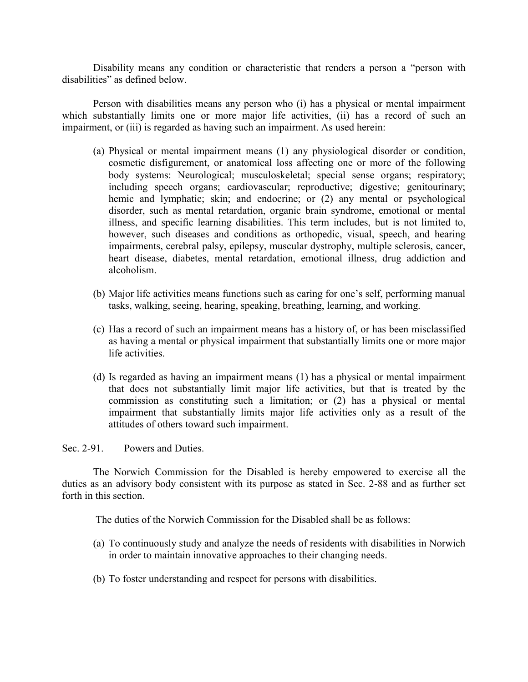Disability means any condition or characteristic that renders a person a "person with disabilities" as defined below.

 Person with disabilities means any person who (i) has a physical or mental impairment which substantially limits one or more major life activities, (ii) has a record of such an impairment, or (iii) is regarded as having such an impairment. As used herein:

- (a) Physical or mental impairment means (1) any physiological disorder or condition, cosmetic disfigurement, or anatomical loss affecting one or more of the following body systems: Neurological; musculoskeletal; special sense organs; respiratory; including speech organs; cardiovascular; reproductive; digestive; genitourinary; hemic and lymphatic; skin; and endocrine; or  $(2)$  any mental or psychological disorder, such as mental retardation, organic brain syndrome, emotional or mental illness, and specific learning disabilities. This term includes, but is not limited to, however, such diseases and conditions as orthopedic, visual, speech, and hearing impairments, cerebral palsy, epilepsy, muscular dystrophy, multiple sclerosis, cancer, heart disease, diabetes, mental retardation, emotional illness, drug addiction and alcoholism.
- (b) Major life activities means functions such as caring for one's self, performing manual tasks, walking, seeing, hearing, speaking, breathing, learning, and working.
- (c) Has a record of such an impairment means has a history of, or has been misclassified as having a mental or physical impairment that substantially limits one or more major life activities.
- (d) Is regarded as having an impairment means (1) has a physical or mental impairment that does not substantially limit major life activities, but that is treated by the commission as constituting such a limitation; or (2) has a physical or mental impairment that substantially limits major life activities only as a result of the attitudes of others toward such impairment.

Sec. 2-91 Powers and Duties.

 The Norwich Commission for the Disabled is hereby empowered to exercise all the duties as an advisory body consistent with its purpose as stated in Sec. 2-88 and as further set forth in this section.

The duties of the Norwich Commission for the Disabled shall be as follows:

- (a) To continuously study and analyze the needs of residents with disabilities in Norwich in order to maintain innovative approaches to their changing needs.
- (b) To foster understanding and respect for persons with disabilities.